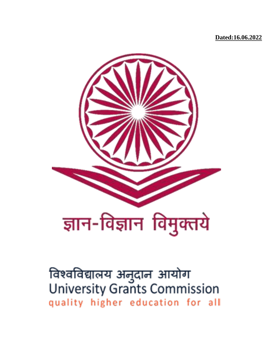**Dated:16.06.2022**



विश्वविद्यालय अनुदान आयोग<br>University Grants Commission quality higher education for all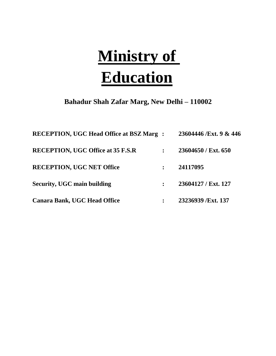# **Ministry of Education**

**Bahadur Shah Zafar Marg, New Delhi – 110002**

| <b>RECEPTION, UGC Head Office at BSZ Marg:</b> | 23604446 /Ext. 9 & 446 |
|------------------------------------------------|------------------------|
| <b>RECEPTION, UGC Office at 35 F.S.R</b>       | 23604650 / Ext. 650    |
| <b>RECEPTION, UGC NET Office</b>               | 24117095               |
| <b>Security, UGC main building</b>             | 23604127 / Ext. 127    |
| <b>Canara Bank, UGC Head Office</b>            | 23236939 /Ext. 137     |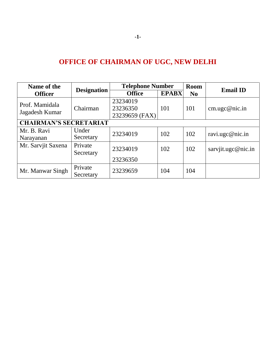# **OFFICE OF CHAIRMAN OF UGC, NEW DELHI**

| Name of the                      |                      | <b>Telephone Number</b>                | <b>Room</b>  |                |                    |
|----------------------------------|----------------------|----------------------------------------|--------------|----------------|--------------------|
| <b>Officer</b>                   | <b>Designation</b>   | <b>Office</b>                          | <b>EPABX</b> | N <sub>0</sub> | <b>Email ID</b>    |
| Prof. Mamidala<br>Jagadesh Kumar | Chairman             | 23234019<br>23236350<br>23239659 (FAX) | 101          | 101            | cm. ugc@nic.in     |
| <b>CHAIRMAN'S SECRETARIAT</b>    |                      |                                        |              |                |                    |
| Mr. B. Ravi<br>Narayanan         | Under<br>Secretary   | 23234019                               | 102          | 102            | ravi.ugc@nic.in    |
| Mr. Sarvjit Saxena               | Private<br>Secretary | 23234019<br>23236350                   | 102          | 102            | sarvjit.ugc@nic.in |
| Mr. Manwar Singh                 | Private<br>Secretary | 23239659                               | 104          | 104            |                    |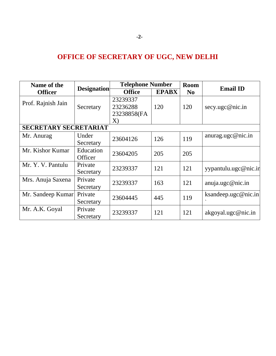# **OFFICE OF SECRETARY OF UGC, NEW DELHI**

| Name of the                  |                    | <b>Telephone Number</b> |              | <b>Room</b>    | <b>Email ID</b>      |
|------------------------------|--------------------|-------------------------|--------------|----------------|----------------------|
| <b>Officer</b>               | <b>Designation</b> | <b>Office</b>           | <b>EPABX</b> | N <sub>0</sub> |                      |
| Prof. Rajnish Jain           |                    | 23239337                |              |                |                      |
|                              | Secretary          | 23236288                | 120          | 120            | secy.ugc@nic.in      |
|                              |                    | 23238858(FA             |              |                |                      |
|                              |                    | X)                      |              |                |                      |
| <b>SECRETARY SECRETARIAT</b> |                    |                         |              |                |                      |
| Mr. Anurag                   | Under              | 23604126                | 126          | 119            | anurag.ugc@nic.in    |
|                              | Secretary          |                         |              |                |                      |
| Mr. Kishor Kumar             | Education          | 23604205                | 205          | 205            |                      |
|                              | Officer            |                         |              |                |                      |
| Mr. Y. V. Pantulu            | Private            | 23239337                | 121          | 121            | yypantulu.ugc@nic.in |
|                              | Secretary          |                         |              |                |                      |
| Mrs. Anuja Saxena            | Private            | 23239337                | 163          | 121            | anuja.ugc@nic.in     |
|                              | Secretary          |                         |              |                |                      |
| Mr. Sandeep Kumar            | Private            | 23604445                | 445          | 119            | ksandeep.ugc@nic.in  |
|                              | Secretary          |                         |              |                |                      |
| Mr. A.K. Goyal               | Private            | 23239337                | 121          | 121            |                      |
|                              | Secretary          |                         |              |                | akgoyal.ugc@nic.in   |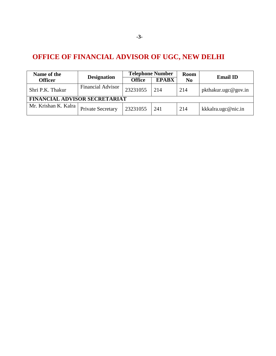# **OFFICE OF FINANCIAL ADVISOR OF UGC, NEW DELHI**

| Name of the                   |                          |                               | <b>Telephone Number</b> | <b>Room</b>    |                     |  |
|-------------------------------|--------------------------|-------------------------------|-------------------------|----------------|---------------------|--|
| <b>Officer</b>                | <b>Designation</b>       | <b>EPABX</b><br><b>Office</b> |                         | N <sub>0</sub> | <b>Email ID</b>     |  |
| Shri P.K. Thakur              | <b>Financial Advisor</b> | 23231055                      | 214                     | 214            | pkthakur.ugc@gov.in |  |
| FINANCIAL ADVISOR SECRETARIAT |                          |                               |                         |                |                     |  |
| Mr. Krishan K. Kalra          | <b>Private Secretary</b> | 23231055                      | 241                     | 214            | kkkalra.ugc@nic.in  |  |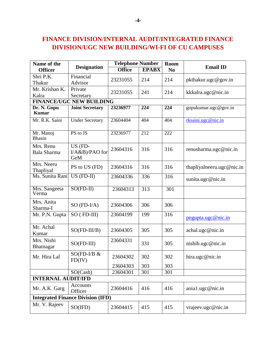# **FINANCE DIVISION/INTERNAL AUDIT/INTEGRATED FINANCE DIVISION/UGC NEW BUILDING/WI-FI OF CU CAMPUSES**

| Name of the                     |                                          | <b>Telephone Number</b> |              | Room           | <b>Email ID</b>           |  |
|---------------------------------|------------------------------------------|-------------------------|--------------|----------------|---------------------------|--|
| <b>Officer</b>                  | <b>Designation</b>                       | <b>Office</b>           | <b>EPABX</b> | N <sub>0</sub> |                           |  |
| Shri P.K.                       | Financial                                | 23231055                | 214          | 214            | pkthakur.ugc@gov.in       |  |
| Thakur                          | Advisor                                  |                         |              |                |                           |  |
| Mr. Krishan K.                  | Private                                  | 23231055                | 241          | 214            | kkkalra.ugc@nic.in        |  |
| Kalra                           | Secretary                                |                         |              |                |                           |  |
|                                 | <b>FINANCE/UGC NEW BUILDING</b>          |                         |              |                |                           |  |
| Dr. N. Gopu<br><b>Kumar</b>     | <b>Joint Secretary</b>                   | 23236977                | 224          | 224            | gopukumar.ugc@gov.in      |  |
| Mr. R.K. Saini                  | <b>Under Secretary</b>                   | 23604404                | 404          | 404            | rksaini.ugc@nic.in        |  |
| Mr. Manoj<br><b>Bhasin</b>      | PS to JS                                 | 23236977                | 212          | 222            |                           |  |
| Mrs. Renu<br><b>Bala Sharma</b> | US (FD-<br>I/A&B)/PAO for<br>GeM         | 23604316                | 316          | 316            | renusharma.ugc@nic.in     |  |
| Mrs. Neeru<br>Thapliyal         | PS to US (FD)                            | 23604316                | 316          | 316            | thapliyalneeru.ugc@nic.in |  |
| Ms. Sunita Rani                 | $\overline{\text{US (FD-II)}}$           | 23604336                | 336          | 316            | sunita.ugc@nic.in         |  |
| Mrs. Sangeeta<br>Verma          | $SO(FD-II)$                              | 23604313                | 313          | 301            |                           |  |
| Mrs. Anita<br>Sharma-I          | $SO(FD-I/A)$                             | 23604306                | 306          | 306            |                           |  |
| Mr. P.N. Gupta                  | $SO$ (FD-III)                            | 23604199                | 199          | 316            | pngupta.ugc@nic.in        |  |
| Mr. Achal<br>Kumar              | $SO(FD-III/B)$                           | 23604305                | 305          | 305            | achal.ugc@nic.in          |  |
| Mrs. Nishi<br><b>Bhatnagar</b>  | $SO(FD-III)$                             | 23604331                | 331          | 305            | nishib.ugc@nic.in         |  |
| Mr. Hira Lal                    | $SO(FD-I/B &$<br>FD(IV)                  | 23604302                | 302          | 302            | hira.ugc@nic.in           |  |
|                                 |                                          | 23604303                | 303          | 303            |                           |  |
|                                 | SO(Cash)                                 | 23604301                | 301          | 301            |                           |  |
| <b>INTERNAL AUDIT/IFD</b>       |                                          |                         |              |                |                           |  |
| Mr. A.K. Garg                   | Accounts<br>Officer                      | 23604416                | 416          | 416            | aoia1.ugc@nic.in          |  |
|                                 | <b>Integrated Finance Division (IFD)</b> |                         |              |                |                           |  |
| Mr. V. Rajeev                   | $SO(\mathrm{IFD})$                       | 23604415                | 415          | 415            | vrajeev.ugc@nic.in        |  |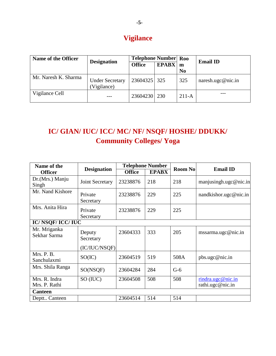# **Vigilance**

| Name of the Officer  |                                       | <b>Telephone Number</b> Roo |              |                | <b>Email ID</b>   |
|----------------------|---------------------------------------|-----------------------------|--------------|----------------|-------------------|
|                      | <b>Designation</b>                    | <b>Office</b>               | <b>EPABX</b> | m              |                   |
|                      |                                       |                             |              | N <sub>0</sub> |                   |
| Mr. Naresh K. Sharma | <b>Under Secretary</b><br>(Vigilance) | 23604325                    | 325          | 325            | naresh.ugc@nic.in |
| Vigilance Cell       |                                       | 23604230   230              |              | $211-A$        |                   |

# **IC/ GIAN/ IUC/ ICC/ MC/ NF/ NSQF/ HOSHE/ DDUKK/ Community Colleges/ Yoga**

| Name of the                    |                      |               | <b>Telephone Number</b> |                |                                       |  |
|--------------------------------|----------------------|---------------|-------------------------|----------------|---------------------------------------|--|
| <b>Officer</b>                 | <b>Designation</b>   | <b>Office</b> | <b>EPABX</b>            | <b>Room No</b> | <b>Email ID</b>                       |  |
| Dr.(Mrs.) Manju<br>Singh       | Joint Secretary      | 23238876      | 218                     | 218            | manjusingh.ugc@nic.in                 |  |
| Mr. Nand Kishore               | Private<br>Secretary | 23238876      | 229                     | 225            | nandkishor.ugc@nic.in                 |  |
| Mrs. Anita Hira                | Private<br>Secretary | 23238876      | 229                     | 225            |                                       |  |
| <b>IC/NSQF/ICC/IUC</b>         |                      |               |                         |                |                                       |  |
| Mr. Mriganka<br>Sekhar Sarma   | Deputy<br>Secretary  | 23604333      | 333                     | 205            | mssarma.ugc@nic.in                    |  |
|                                | (IC/IUC/NSQF)        |               |                         |                |                                       |  |
| Mrs. P. B.<br>Sanchulaxmi      | SO(IC)               | 23604519      | 519                     | 508A           | pbs.ugc@nic.in                        |  |
| Mrs. Shila Ranga               | SO(NSQF)             | 23604284      | 284                     | $G-6$          |                                       |  |
| Mrs. R. Indra<br>Mrs. P. Rathi | SO (IUC)             | 23604508      | 508                     | 508            | rindra.ugc@nic.in<br>rathi.ugc@nic.in |  |
| <b>Canteen</b>                 |                      |               |                         |                |                                       |  |
| Deptt Canteen                  |                      | 23604514      | 514                     | 514            |                                       |  |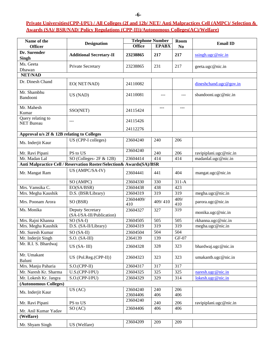#### **-6-**

## **Private Universities(CPP-I/PU) / All Colleges (2f and 12b/ NET/ Anti Malpractices Cell (AMPC)/ Selection & Awards (SA)/ BSR/NAD/ Policy Regulations (CPP-II))/Autonomous Colleges(AC)/Welfare)**

| Name of the                                | <b>Designation</b>                                                   |                      | <b>Telephone Number</b> | Room             | <b>Email ID</b>        |
|--------------------------------------------|----------------------------------------------------------------------|----------------------|-------------------------|------------------|------------------------|
| <b>Officer</b>                             |                                                                      | <b>Office</b>        | <b>EPABX</b>            | N <sub>0</sub>   |                        |
| Dr. Surender<br><b>Singh</b>               | <b>Additional Secretary-II</b>                                       | 23238865             | 217                     | 217              | ssingh. ugc@nic.in     |
| Ms. Geeta<br>Dhawan                        | Private Secretary                                                    | 23238865             | 231                     | 217              | geeta.ugc@nic.in       |
| <b>NET/NAD</b>                             |                                                                      |                      |                         |                  |                        |
| Dr. Dinesh Chand                           | EO(NET/NAD)                                                          | 24110082             |                         |                  | dineshchand.ugc@gov.in |
| Mr. Shambhu<br>Bandooni                    | US (NAD)                                                             | 24110081             | $---$                   | ---              | sbandooni.ugc@nic.in   |
| Mr. Mahesh<br>Kumar                        | SSO(NET)                                                             | 24115424             | ---                     | ---              |                        |
| Query relating to<br><b>NET Bureau</b>     | $---$                                                                | 24115426             |                         |                  |                        |
|                                            |                                                                      | 24112276             |                         |                  |                        |
| Approval u/s 2f & 12B relating to Colleges |                                                                      |                      |                         |                  |                        |
| Ms. Inderjit Kaur                          | US (CPP-I colleges)                                                  | 23604240             | 240                     | 206              |                        |
| Mr. Ravi Pipani                            | PS to US                                                             | 23604240             | 240                     | 206              | ravipiplani.ugc@nic.in |
| Mr. Madan Lal                              | SO (Colleges- 2F & 12B)                                              | 23604414             | 414                     | 414              | madanlal.ugc@nic.in    |
|                                            | Anti Malpractice Cell / Reservation Roster/Selection& Awards(SA)/BSR |                      |                         |                  |                        |
| Mr. Mangat Ram                             | US (AMPC/SA-IV)                                                      | 23604441             | 441                     | 404              | mangat.ugc@nic.in      |
|                                            | SO (AMPC)                                                            | 23604330             | 330                     | $311-A$          |                        |
| Mrs. Vamsika C.                            | EO(SA/BSR)                                                           | 23604438             | 438                     | 423              |                        |
| Mrs. Megha Kaushik                         | D.S. (BSR/Library)                                                   | 23604319             | 319                     | 319              | megha.ugc@nic.in       |
| Mrs. Poonam Arora                          | SO (BSR)                                                             | 23604409/<br>410     | 409/410                 | 409/<br>410      | parora.ugc@nic.in      |
| Ms. Monika                                 | Deputy Secretary<br>(SA-I/SA-III/Publication)                        | 23604327             | 327                     | 319              | monika.ugc@nic.in      |
| Mrs. Rajni Khanna                          | SO (SA-I)                                                            | 23604505             | 505                     | 505              | rkhanna.ugc@nic.in     |
| Mrs. Megha Kaushik                         | D.S. (SA-II/Library)                                                 | 23604319             | 319                     | $\overline{319}$ | megha.ugc@nic.in       |
| Mr. Suresh Kumar                           | SO (SA-II)                                                           | 23604504             | 504                     | 504              |                        |
| Mr. Inderjit Singh                         | $S.O. (SA-III)$                                                      | 2364139              | 139                     | $\times 10^7$    |                        |
| Mr. R.I. S. Bhardwaj                       | $US(SA-III)$                                                         | 23604328             | 328                     | 323              | bhardwaj.ugc@nic.in    |
| Mr. Umakant<br>Baluni                      | $US$ {Pol.Reg.(CPP-II)}                                              | 23604323             | 323                     | 323              | umakantb.ugc@nic.in    |
| Mrs. Manju Paharia                         | $S.O.(CPP-II)$                                                       | 23604317             | 317                     | 317              |                        |
| Mr. Naresh Kr. Sharma                      | $U.S.(CPP-I/PU)$                                                     | 23604325             | 325                     | 325              | naresh.ugc@nic.in      |
| Mr. Lokesh Kr. Jangra                      | $S.O.(CPP-I/PU)$                                                     | 23604329             | 329                     | 314              | lokesh.ugc@nic.in      |
| (Autonomous Colleges)                      |                                                                      |                      |                         |                  |                        |
| Ms. Inderjit Kaur                          | US(AC)                                                               | 23604240<br>23604406 | 240<br>406              | 206<br>406       |                        |
| Mr. Ravi Pipani                            | PS to US                                                             | 23604240             | 240                     | 206              | ravipiplani.ugc@nic.in |
|                                            | SO(AC)                                                               | 23604406             | 406                     | 406              |                        |
| Mr. Anil Kumar Yadav                       |                                                                      |                      |                         |                  |                        |
| (Welfare)                                  |                                                                      |                      |                         |                  |                        |
| Mr. Shyam Singh                            | US (Welfare)                                                         | 23604209             | 209                     | 209              |                        |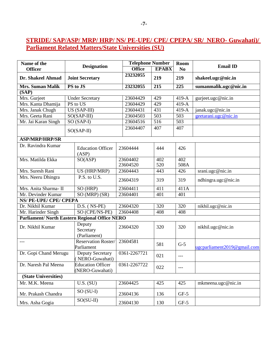# **STRIDE/ SAP/ASP/ MRP/ HRP/ NS/ PE-UPE/ CPE/ CPEPA/ SR/ NERO- Guwahati)/ Parliament Related Matters/State Universities (SU)**

| Name of the                                          |  |                                             |              | <b>Telephone Number</b> |                  | Room             |                             |  |
|------------------------------------------------------|--|---------------------------------------------|--------------|-------------------------|------------------|------------------|-----------------------------|--|
| <b>Officer</b>                                       |  | <b>Designation</b>                          |              | <b>Office</b>           | <b>EPABX</b>     | N <sub>0</sub>   | <b>Email ID</b>             |  |
| Dr. Shakeel Ahmad                                    |  | <b>Joint Secretary</b>                      |              | 23232055                | 219              | 219              | shakeel.ugc@nic.in          |  |
| <b>Mrs. Suman Malik</b>                              |  | PS to JS                                    |              | 23232055                | 215              | 225              | sumanmalik.ugc@nic.in       |  |
| (SAP)                                                |  |                                             |              |                         |                  |                  |                             |  |
| Mrs. Gurjeet                                         |  | <b>Under Secretary</b>                      |              | 23604429                | 429              | 419-A            | gurjeet.ugc@nic.in          |  |
| Mrs. Kanta Dhamija                                   |  | PS to US                                    |              | 23604429                | 429              | 419-A            |                             |  |
| Mrs. Janak Chugh                                     |  | $US(SAP-III)$                               |              | 23604431                | 431              | $419-A$          | janak.ugc@nic.in            |  |
| Mrs. Geeta Rani                                      |  | $SO(SAP-III)$                               |              | 23604503                | 503              | $\overline{503}$ | geetarani.ugc@nic.in        |  |
| Mr. Jai Karan Singh                                  |  | $SO(SAP-I)$                                 |              | 23604516                | $\overline{516}$ | $\overline{503}$ |                             |  |
|                                                      |  | $SO(SAP-II)$                                |              | 23604407                | 407              | 407              |                             |  |
| <b>ASP/MRP/HRP/SR</b>                                |  |                                             |              |                         |                  |                  |                             |  |
| Dr. Ravindra Kumar                                   |  | <b>Education Officer</b><br>(ASP)           |              | 23604444                | 444              | 426              |                             |  |
| Mrs. Matilda Ekka                                    |  | SO(ASP)                                     |              | 23604402                | 402              | 402              |                             |  |
|                                                      |  |                                             |              | 23604520                | 520              | 508A             |                             |  |
| Mrs. Suresh Rani                                     |  | <b>US (HRP/MRP)</b>                         |              | 23604443                | 443              | 426              | srani.ugc@nic.in            |  |
| Mrs. Neeru Dhingra                                   |  | P.S. to U.S.                                |              | 23604319                | 319              | 319              | ndhingra.ugc@nic.in         |  |
| Mrs. Anita Sharma-II                                 |  | SO(HRP)                                     |              | 23604411                | $\overline{411}$ | 411A             |                             |  |
| Mr. Devinder Kumar                                   |  | $SO(MRP)$ $(SR)$                            |              | 23604401                | 401              | 401              |                             |  |
| <b>NS/ PE-UPE/ CPE/ CPEPA</b>                        |  |                                             |              |                         |                  |                  |                             |  |
| Dr. Nikhil Kumar                                     |  | $D.S.$ ( $NS-PE$ )                          |              | 23604320                | 320              | $\overline{320}$ | nikhil.ugc@nic.in           |  |
| Mr. Harinder Singh                                   |  | SO (CPE/NS-PE)                              |              | 23604408                | 408              | 408              |                             |  |
| <b>Parliament/North Eastern Regional Office NERO</b> |  |                                             |              |                         |                  |                  |                             |  |
| Dr. Nikhil Kumar                                     |  | Deputy<br>Secretary<br>(Parliament)         |              | 23604320                | 320              | 320              | nikhil.ugc@nic.in           |  |
| ---                                                  |  | <b>Reservation Roster/</b><br>Parliament    |              | 23604581                | 581              | $G-5$            | ugcparliament2019@gmail.com |  |
| Dr. Gopi Chand Merugu                                |  | <b>Deputy Secretary</b><br>NERO-Guwahati)   | 0361-2267721 |                         | 021              | $---$            |                             |  |
| Dr. Naresh Pal Meena                                 |  | <b>Education Officer</b><br>(NERO-Guwahati) | 0361-2267722 |                         | 022              | $---$            |                             |  |
| (State Universities)                                 |  |                                             |              |                         |                  |                  |                             |  |
| Mr. M.K. Meena                                       |  | $\overline{\text{U.S. (SU)}}$               |              | 23604425                | 425              | 425              | mkmeena.ugc@nic.in          |  |
| Mr. Prakash Chandra                                  |  | $SO(SU-I)$                                  |              | 23604136                | 136              | $GF-5$           |                             |  |
| Mrs. Asha Gogia                                      |  | $SO(SU-II)$                                 |              | 23604130                | 130              | $GF-5$           |                             |  |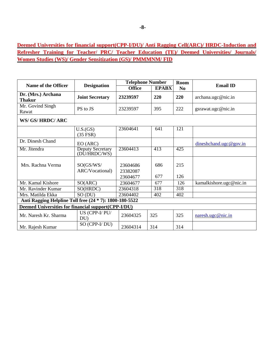**Deemed Universities for financial support(CPP-I/DU)/ Anti Ragging Cell(ARC)/ HRDC-Induction and Refresher Training for Teacher/ PRC/ Teacher Education (TE)/ Deemed Universities/ Journals/ Women Studies (WS)/ Gender Sensitization (GS)/ PMMMNM/ FID**

| Name of the Officer                                        |                                         | <b>Telephone Number</b> |                  | <b>Room</b>      | <b>Email ID</b>         |  |
|------------------------------------------------------------|-----------------------------------------|-------------------------|------------------|------------------|-------------------------|--|
|                                                            | <b>Designation</b>                      | <b>Office</b>           | <b>EPABX</b>     | N <sub>0</sub>   |                         |  |
| Dr. (Mrs.) Archana<br><b>Thakur</b>                        | <b>Joint Secretary</b>                  | 23239597                | 220              | 220              | archana.ugc@nic.in      |  |
| Mr. Govind Singh<br>Rawat                                  | PS to JS                                | 23239597                | 395              | 222              | gsrawat.ugc@nic.in      |  |
| WS/ GS/ HRDC/ ARC                                          |                                         |                         |                  |                  |                         |  |
|                                                            | U.S.(GS)<br>$(35$ FSR)                  | 23604641                | 641              | 121              |                         |  |
| Dr. Dinesh Chand                                           | EO (ARC)                                |                         |                  |                  | dineshchand.ugc@gov.in  |  |
| Mr. Jitendra                                               | <b>Deputy Secretary</b><br>(DU/HRDC/WS) | 23604413                | 413              | 425              |                         |  |
| Mrs. Rachna Verma                                          | SO(GS/WS/<br>ARC/Vocational)            | 23604686<br>23382087    | 686              | 215              |                         |  |
|                                                            |                                         | 23604677                | 677              | 126              |                         |  |
| Mr. Kamal Kishore                                          | SO(ARC)                                 | 23604677                | 677              | 126              | kamalkishore.ugc@nic.in |  |
| Mr. Ravinder Kumar                                         | SO(HRDC)                                | 23604318                | $\overline{318}$ | $\overline{318}$ |                         |  |
| Mrs. Matilda Ekka                                          | SO (DU)                                 | 23604402                | 402              | 402              |                         |  |
| Anti Ragging Helpline Toll free (24 * 7): 1800-180-5522    |                                         |                         |                  |                  |                         |  |
| <b>Deemed Universities for financial support(CPP-I/DU)</b> |                                         |                         |                  |                  |                         |  |
| Mr. Naresh Kr. Sharma                                      | US (CPP-I/PU/<br>DU                     | 23604325                | 325              | 325              | naresh.ugc@nic.in       |  |
| Mr. Rajesh Kumar                                           | SO (CPP-I/DU)                           | 23604314                | 314              | 314              |                         |  |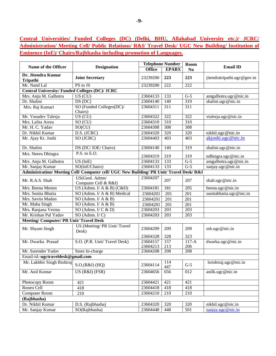**Central Universities/ Funded Colleges (DC) (Delhi, BHU, Allahabad University etc.)/ JCRC/ Administration/ Meeting Cell/ Public Relations/ R&I/ Travel Desk/ UGC New Building/ Institution of Eminence (IoE)/ Chairs/Rajbhasha including promotion of Languages.**

|                                                      |                                                                                          |               | <b>Telephone Number</b> | Room             |                             |  |
|------------------------------------------------------|------------------------------------------------------------------------------------------|---------------|-------------------------|------------------|-----------------------------|--|
| Name of the Officer                                  | <b>Designation</b>                                                                       | <b>Office</b> | <b>EPABX</b>            | N <sub>0</sub>   | <b>Email ID</b>             |  |
| Dr. Jitendra Kumar<br><b>Tripathi</b>                | <b>Joint Secretary</b>                                                                   | 23239200      | 223                     | 223              | jitendratripathi.ugc@gov.in |  |
| Mr. Nand Lal                                         | PS to JS                                                                                 | 23239200      | 222                     | $\overline{222}$ |                             |  |
| <b>Central University/Funded Colleges (DC)/ JCRC</b> |                                                                                          |               |                         |                  |                             |  |
| Mrs. Anju M. Galhotra                                | $US$ (CU)                                                                                | 23604133      | 133                     | $\overline{G-5}$ | amgalhotra.ugc@nic.in       |  |
| Dr. Shalini                                          | DS (DC)                                                                                  | 23604140      | 140                     | 319              | shalini.ugc@nic.in          |  |
| Mrs. Raj Kumari                                      | SO (Funded Colleges(DC)/<br>Chairs)                                                      | 23604311      | $\overline{311}$        | 311              |                             |  |
| Mr. Vasudev Talreja                                  | $US$ (CU)                                                                                | 23604322      | 322                     | 322              | vtalreja.ugc@nic.in         |  |
| Mrs. Lalita Arora                                    | SO (CU)                                                                                  | 23604310      | $\overline{310}$        | 310              |                             |  |
| Mr. H. C. Yadav                                      | SO(CU)                                                                                   | 23604308      | 308                     | 308              |                             |  |
| Dr. Nikhil Kumar                                     | D.S. (JCRC)                                                                              | 23604320      | 320                     | 320              | nikhil.ugc@nic.in           |  |
| Mr. Ajay Kr. Joshi                                   | SO (JCRC)                                                                                | 23604403      | 403                     | 403              | akjoshi.ugc@nic.in          |  |
| Dr. Shalini                                          | DS (DC/IOE/Chairs)                                                                       | 23604140      | 140                     | 319              | shalini.ugc@nic.in          |  |
| Mrs. Neeru Dhingra                                   | P.S. to E.O.                                                                             | 23604319      | 319                     | 319              | ndhingra.ugc@nic.in         |  |
| Mrs. Anju M. Galhotra                                | US (IoE)                                                                                 | 23604133      | 133                     | $\overline{G-5}$ | amgalhotra.ugc@nic.in       |  |
| Mr. Sanjay Kumar                                     | SO(IoE/Chairs)                                                                           | 23604133      | 133                     | $\overline{G-5}$ | sanjay.ugc@nic.in           |  |
|                                                      | Administration/ Meeting Cell/ Computer cell/ UGC New Building/ PR Unit/ Travel Desk/ R&I |               |                         |                  |                             |  |
| Mr. R.A.S. Shah                                      | US(Genl. Admn/<br>Computer Cell & R&I)                                                   | 23604207      | 207                     | 207              | shah.ugc@nic.in             |  |
| Mrs. Beena Menon                                     | US (Admn. I/ A & B) $(C&D)$                                                              | 23604181      | 181                     | 205              | beena.ugc@nic.in            |  |
| Mrs. Sunita Bhatia                                   | SO (Admn. I/ A & B) Medical                                                              | 23604201      | 201                     | 201              | sunitabhatia.ugc@nic.in     |  |
| Mrs. Savita Madan                                    | SO (Admn. $I/A & B$ )                                                                    | 23604201      | 201                     | 201              |                             |  |
| Mr. Maha Singh                                       | SO (Admn. $I/A & B$ )                                                                    | 23604201      | 201                     | 201              |                             |  |
| Mrs. Ranjana Verma                                   | SO (Admn. $I/C$ & D)                                                                     | 23604203      | 203                     | 203              |                             |  |
| Mr. Krishan Pal Yadav                                | $SO$ (Admn. $V$ C)                                                                       | 23604203      | 203                     | 203              |                             |  |
| <b>Meeting/Computer/PR Unit/Travel Desk</b>          |                                                                                          |               |                         |                  |                             |  |
| Mr. Shyam Singh                                      | US (Meeting/ PR Unit/ Travel<br>Desk)                                                    | 23604209      | 209                     | 209              | ssb.ugc@nic.in              |  |
|                                                      |                                                                                          | 23604328      | 328                     | 323              |                             |  |
| Mr. Dwarka Prasad                                    | S.O. (P.R. Unit/ Travel Desk)                                                            | 23604157      | 157                     | $117-A$          | dwarka.ugc@nic.in           |  |
|                                                      |                                                                                          | 23604213      | 213                     | 206              |                             |  |
| Mr. Surender Yadav                                   | Store In-charge                                                                          | 23604208      | 208                     | 208              |                             |  |
| Email-id:-ugctraveldesk@gmail.com                    |                                                                                          |               |                         |                  |                             |  |
| Mr. Lakhbir Singh Rishiraj                           | $S.O.(R&I)$ (HQ)                                                                         | 23604114      | 114<br>447              | $G-5$            | lsrishiraj.ugc@nic.in       |  |
| Mr. Anil Kumar                                       | US (R&I) (FSR)                                                                           | 23604656      | 656                     | 012              | anilk.ugc@nic.in            |  |
| Photocopy Room                                       | 421                                                                                      | 23604421      | 421                     | 421              |                             |  |
| Roneo Cell                                           | 418                                                                                      | 23604418      | 418                     | 418              |                             |  |
| <b>Computer Room</b>                                 | 210                                                                                      | 23604210      | 210                     | 210              |                             |  |
| (Rajbhasha)                                          |                                                                                          |               |                         |                  |                             |  |
| Dr. Nikhil Kumar                                     | D.S. (Rajbhasha)                                                                         | 23604320      | 320                     | 320              | nikhil.ugc@nic.in           |  |
| Mr. Sanjay Kumar                                     | SO(Rajbhasha)                                                                            | 23604448      | 448                     | 501              | sanjay.ugc@nic.in           |  |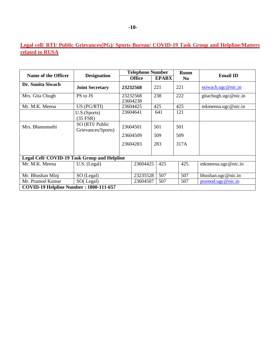# **Legal cell/ RTI/ Public Grievances(PG)/ Sports Bureau/ COVID-19 Task Group and Helpline/Matters related to RUSA**

| Name of the Officer                                |                                       |                      | <b>Telephone Number</b> |     |              | <b>Room</b>    | <b>Email ID</b>      |  |
|----------------------------------------------------|---------------------------------------|----------------------|-------------------------|-----|--------------|----------------|----------------------|--|
|                                                    | <b>Designation</b>                    |                      | <b>Office</b>           |     | <b>EPABX</b> | N <sub>0</sub> |                      |  |
| Dr. Sunita Siwach                                  | <b>Joint Secretary</b>                |                      | 23232568                | 221 |              | 221            | ssiwach.ugc@nic.in   |  |
| Mrs. Gita Chugh                                    | PS to JS                              | 23232568<br>23604238 |                         | 238 |              | 222            | gitachugh.ugc@nic.in |  |
| Mr. M.K. Meena                                     | US (PG/RTI)                           |                      | 23604425                | 425 |              | 425            | mkmeena.ugc@nic.in   |  |
|                                                    | U.S.(Sports)<br>$(35$ FSR)            |                      | 23604641                | 641 |              | 121            |                      |  |
| Mrs. Bhanumathi                                    | SO (RTI/ Public<br>Grievances/Sports) | 23604501             |                         | 501 |              | 501            |                      |  |
|                                                    |                                       |                      | 23604509                | 509 |              | 509            |                      |  |
|                                                    |                                       |                      | 23604283                | 283 |              | 317A           |                      |  |
| <b>Legal Cell/COVID-19 Task Group and Helpline</b> |                                       |                      |                         |     |              |                |                      |  |
| Mr. M.K. Meena                                     | $U.S.$ (Legal)                        |                      | 23604425                | 425 |              | 425            | mkmeena.ugc@nic.in   |  |
| Mr. Bhushan Minj                                   | SO (Legal)                            |                      | 23235528                | 507 |              | 507            | bhushan.ugc@nic.in   |  |
| Mr. Pramod Kumar                                   | SO(Legal)                             |                      | 23604507                | 507 |              | 507            | pramod. ugc@nic.in   |  |
| COVID-19 Helpline Number: 1800-111-657             |                                       |                      |                         |     |              |                |                      |  |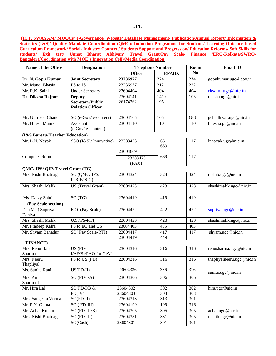**(ICT, SWAYAM/ MOOCs/ e-Governance/ Website/ Database Management/ Publication/Annual Report/ Information & Statistics (I&S)/ Quality Mandate Co-ordination (QMC)/ Induction Programme for Students/ Learning Outcome based Curriculum Framework/ Social- Industry Connect / Students Support and Progression/ Education Reforms/ Soft Skills for students/ Exit test/ Unnat Bharat Abhiyan/ Travel Grant/Pay Scale/ Finance /ERO-Kolkata/SWRO-Bangalore/Coordination with MOE's Innovation Cell)/Media Coordination** 

| Name of the Officer            | <b>Designation</b>                  | <b>Telephone Number</b> |                  | Room             | <b>Email ID</b>           |
|--------------------------------|-------------------------------------|-------------------------|------------------|------------------|---------------------------|
|                                |                                     | <b>Office</b>           | <b>EPABX</b>     | N <sub>0</sub>   |                           |
| Dr. N. Gopu Kumar              | <b>Joint Secretary</b>              | 23236977                | 224              | 224              | gopukumar.ugc@gov.in      |
| Mr. Manoj Bhasin               | PS to JS                            | 23236977                | 212              | 222              |                           |
| Mr. R.K. Saini                 | <b>Under Secretary</b>              | 23604404                | 404              | 404              | rksaini.ugc@nic.in        |
| Dr. Diksha Rajput              | <b>Deputy</b>                       | 23604141                | 141/             | 105              | diksha.ugc@nic.in         |
|                                | <b>Secretary/Public</b>             | 26174262                | 195              |                  |                           |
|                                | <b>Relation Officer</b>             |                         |                  |                  |                           |
| Mr. Gurmeet Chand              | SO (e-Gov/e-content)                | 23604165                | 165              | $G-3$            | gcbadhwar.ugc@nic.in      |
| Mr. Hitesh Manik               | Assistant                           | 23604110                | 110              | 110              | hitesh.ugc@nic.in         |
|                                | $(e-Gov/e$ -content)                |                         |                  |                  |                           |
| (I&S Bureau/Teacher Education) |                                     |                         |                  |                  |                           |
| Mr. L.N. Nayak                 | SSO (I&S)/ Innovative)              | 23383473                | 661              | 117              | lnnayak.ugc@nic.in        |
|                                |                                     |                         | 669              |                  |                           |
|                                |                                     | 23604669                |                  |                  |                           |
| Computer Room                  |                                     | 23383473                | 669              | 117              |                           |
|                                |                                     | (FAX)                   |                  |                  |                           |
| QMC/IPS/QIP/Travel Grant (TG)  |                                     |                         |                  |                  |                           |
| Mrs. Nishi Bhatnagar           | SO (QMC/IPS/                        | 23604324                | 324              | 324              | nishib.ugc@nic.in         |
|                                | LOCF/SIC)                           |                         |                  |                  |                           |
| Mrs. Shashi Malik              | US (Travel Grant)                   | 23604423                | 423              | 423              | shashimalik.ugc@nic.in    |
| Ms. Daizy Sobti                | SO(TG)                              | 23604419                | 419              | 419              |                           |
| (Pay Scale section)            |                                     |                         |                  |                  |                           |
| Dr. (Ms.) Supriya              | E.O. (Pay Scale)                    | 23604422                | 422              | 422              | supriya.ugc@nic.in        |
| Dahiya                         |                                     |                         |                  |                  |                           |
| Mrs. Shashi Malik              | $\overline{U.S.(PS-RTI)}$           | 23604423                | $\overline{423}$ | 423              | shashimalik.ugc@nic.in    |
| Mr. Pradeep Kalra              | PS to EO and US                     | 23604405                | 405              | $\overline{405}$ |                           |
| Mr. Shyam Bahadur              | SO(Pay Scale-RTI)                   | 23604417                | 417              | 417              | shyam.ugc@nic.in          |
|                                |                                     | 23604449                | 449              |                  |                           |
| (FINANCE)                      |                                     |                         |                  |                  |                           |
| Mrs. Renu Bala<br>Sharma       | US (FD-                             | 23604316                | 316              | 316              | renusharma.ugc@nic.in     |
| Mrs. Neeru                     | I/A&B)/PAO for GeM<br>PS to US (FD) | 23604316                | 316              | 316              | thapliyalneeru.ugc@nic.in |
| Thapliyal                      |                                     |                         |                  |                  |                           |
| Ms. Sunita Rani                | $US(FD-II)$                         | 23604336                | 336              | 316              | sunita.ugc@nic.in         |
| Mrs. Anita                     | $SO(FD-I/A)$                        | 23604306                | 306              | 306              |                           |
| Sharma-I                       |                                     |                         |                  |                  |                           |
| Mr. Hira Lal                   | $SO(FD-I/B &$                       | 23604302                | 302              | 302              | hira.ugc@nic.in           |
|                                | FD(IV)                              | 23604303                | 303              | 303              |                           |
| Mrs. Sangeeta Verma            | $SO(FD-II)$                         | 23604313                | $\overline{313}$ | 301              |                           |
| Mr. P.N. Gupta                 | SO (FD-III)                         | 23604199                | 199              | 316              |                           |
| Mr. Achal Kumar                | SO (FD-III/B)                       | 23604305                | 305              | 305              | achal.ugc@nic.in          |
| Mrs. Nishi Bhatnagar           | SO (FD-III)                         | 23604331                | 331              | 305              | nishib.ugc@nic.in         |
|                                | SO(Cash)                            | 23604301                | 301              | 301              |                           |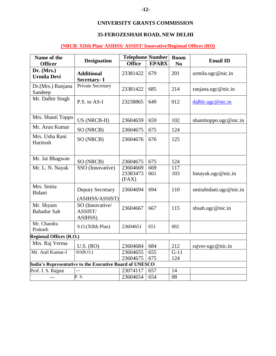# **UNIVERSITY GRANTS COMMISSION**

### **35-FEROZESHAH ROAD, NEW DELHI**

## **(NRCB/ XIIth Plan/ ASIHSS/ ASSIST/Innovative/Regional Offices (RO)**

| Name of the                                             |                                            | <b>Telephone Number</b>       |              | Room                    | <b>Email ID</b>        |  |
|---------------------------------------------------------|--------------------------------------------|-------------------------------|--------------|-------------------------|------------------------|--|
| <b>Officer</b>                                          | <b>Designation</b>                         | <b>Office</b>                 | <b>EPABX</b> | N <sub>0</sub>          |                        |  |
| Dr. (Mrs.)<br><b>Urmila Devi</b>                        | <b>Additional</b><br><b>Secretary-I</b>    | 23381422                      | 679          | 201                     | urmila.ugc@nic.in      |  |
| Dr.(Mrs.) Ranjana<br>Sandeep                            | Private Secretary                          | 23381422                      | 685          | 214                     | ranjana.ugc@nic.in     |  |
| Mr. Dalbir Singh                                        | P.S. to AS-I                               | 23238865                      | 649          | 012                     | dalbir.ugc@nic.in      |  |
| Mrs. Shanti Toppo                                       | US (NRCB-II)                               | 23604659                      | 659          | 102                     | shantitoppo.ugc@nic.in |  |
| Mr. Arun Kumar                                          | SO (NRCB)                                  | 23604675                      | 675          | 124                     |                        |  |
| Mrs. Usha Rani<br>Haritosh                              | SO (NRCB)                                  | 23604676                      | 676          | 125                     |                        |  |
| Mr. Jai Bhagwan                                         | SO (NRCB)                                  | 23604675                      | 675          | 124                     |                        |  |
| Mr. L. N. Nayak                                         | SSO (Innovative)                           | 23604669<br>23383473<br>(FAX) | 669<br>661   | $\overline{117}$<br>103 | lnnayak. ugc@nic.in    |  |
| Mrs. Smita<br>Bidani                                    | <b>Deputy Secretary</b><br>(ASIHSS/ASSIST) | 23604694                      | 694          | 110                     | smitabidani.ugc@nic.in |  |
| Mr. Shyam<br><b>Bahadur Sah</b>                         | SO (Innovative/<br>ASSIST/<br>ASIHSS)      | 23604667                      | 667          | 115                     | sbsah.ugc@nic.in       |  |
| Mr. Chandra<br>Prakash                                  | S.O.(XIIth Plan)                           | 23604651                      | 651          | 002                     |                        |  |
| <b>Regional Offices (R.O.)</b>                          |                                            |                               |              |                         |                        |  |
| Mrs. Raj Verma                                          | U.S. (RO)                                  | 23604684                      | 684          | 212                     | rajver-ugc@nic.in      |  |
| Mr. Anil Kumar-I                                        | SO(R.O.)                                   | 23604655<br>23604675          | 655<br>675   | $G-11$<br>124           |                        |  |
| India's Representative to the Executive Board of UNESCO |                                            |                               |              |                         |                        |  |
| Prof. J. S. Rajput                                      |                                            | 23074117                      | 657          | 14                      |                        |  |
| $---$                                                   | P.S.                                       | 23604654                      | 654          | 08                      |                        |  |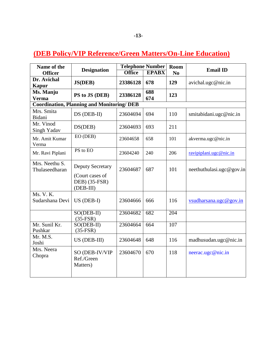# **(DEB Policy/VIP Reference/Green Matters/On-Line Education)**

| Name of the                      |                                                                          | <b>Telephone Number</b> |              | Room           | <b>Email ID</b>          |
|----------------------------------|--------------------------------------------------------------------------|-------------------------|--------------|----------------|--------------------------|
| <b>Officer</b>                   | <b>Designation</b>                                                       | <b>Office</b>           | <b>EPABX</b> | N <sub>0</sub> |                          |
| Dr. Avichal<br><b>Kapur</b>      | <b>JS(DEB)</b>                                                           | 23386128                | 678          | 129            | avichal.ugc@nic.in       |
| Ms. Manju<br><b>Verma</b>        | PS to JS (DEB)                                                           | 23386128                | 688<br>674   | 123            |                          |
|                                  | <b>Coordination, Planning and Monitoring/DEB</b>                         |                         |              |                |                          |
| Mrs. Smita<br>Bidani             | DS (DEB-II)                                                              | 23604694                | 694          | 110            | smitabidani.ugc@nic.in   |
| Mr. Vinod<br>Singh Yadav         | DS(DEB)                                                                  | 23604693                | 693          | 211            |                          |
| Mr. Amit Kumar<br>Verma          | EO (DEB)                                                                 | 23604658                | 658          | 101            | akverma.ugc@nic.in       |
| Mr. Ravi Piplani                 | PS to EO                                                                 | 23604240                | 240          | 206            | ravipiplani.ugc@nic.in   |
| Mrs. Neethu S.<br>Thulaseedharan | <b>Deputy Secretary</b><br>(Court cases of<br>DEB) (35-FSR)<br>(DEB-III) | 23604687                | 687          | 101            | neethuthulasi.ugc@gov.in |
| Ms. V. K.<br>Sudarshana Devi     | $US$ (DEB-I)                                                             | 23604666                | 666          | 116            | vsudharsana.ugc@gov.in   |
|                                  | SO(DEB-II)<br>$(35-FSR)$                                                 | 23604682                | 682          | 204            |                          |
| Mr. Sunil Kr.<br>Pushkar         | SO(DEB-II)<br>$(35-FSR)$                                                 | 23604664                | 664          | 107            |                          |
| Mr. M.S.<br>Joshi                | US (DEB-III)                                                             | 23604648                | 648          | 116            | madhusudan.ugc@nic.in    |
| Mrs. Neera<br>Chopra             | SO (DEB-IV/VIP<br>Ref./Green<br>Matters)                                 | 23604670                | 670          | 118            | neerac.ugc@nic.in        |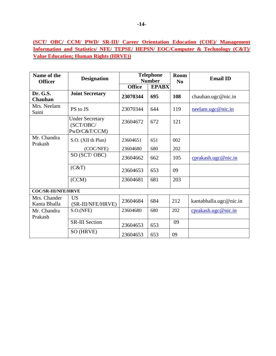## **(SCT/ OBC/ CCM/ PWD/ SR-III/ Career Orientation Education (COE)/ Management Information and Statistics/ NFE/ TEPSE/ HEPSN/ EOC/Computer & Technology (C&T)/ Value Education; Human Rights (HRVE))**

| Name of the<br><b>Officer</b> | <b>Designation</b>                                  |               | <b>Telephone</b><br><b>Number</b> | <b>Room</b><br>N <sub>0</sub> | <b>Email ID</b>        |
|-------------------------------|-----------------------------------------------------|---------------|-----------------------------------|-------------------------------|------------------------|
|                               |                                                     | <b>Office</b> | <b>EPABX</b>                      |                               |                        |
| Dr. G.S.<br><b>Chauhan</b>    | <b>Joint Secretary</b>                              | 23070344      | 695                               | 108                           | chauhan.ugc@nic.in     |
| Mrs. Neelam<br>Saini          | PS to JS                                            | 23070344      | 644                               | 119                           | neelam.ugc@nic.in      |
|                               | <b>Under Secretary</b><br>(SCT/OBC/<br>PwD/C&T/CCM) | 23604672      | 672                               | 121                           |                        |
| Mr. Chandra<br>Prakash        | S.O. (XII th Plan)                                  | 23604651      | 651                               | 002                           |                        |
|                               | (COC/NFE)                                           | 23604680      | 680                               | 202                           |                        |
|                               | SO (SCT/OBC)                                        | 23604662      | 662                               | 105                           | cprakash.ugc@nic.in    |
|                               | (C&T)                                               | 23604653      | 653                               | 09                            |                        |
|                               | $\overline{(CCM)}$                                  | 23604681      | 681                               | $\overline{203}$              |                        |
| <b>COC/SR-III/NFE/HRVE</b>    |                                                     |               |                                   |                               |                        |
| Mrs. Chander<br>Kanta Bhalla  | <b>US</b><br>(SR-III/NFE/HRVE)                      | 23604684      | 684                               | 212                           | kantabhalla.ugc@nic.in |
| Mr. Chandra<br>Prakash        | S.O.(NFE)                                           | 23604680      | 680                               | 202                           | cprakash.ugc@nic.in    |
|                               | <b>SR-III Section</b>                               | 23604653      | 653                               | 09                            |                        |
|                               | SO (HRVE)                                           | 23604653      | 653                               | 09                            |                        |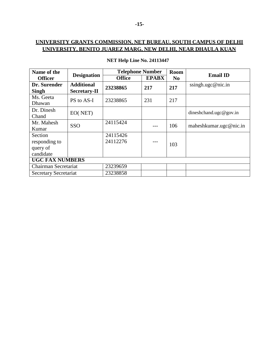| Name of the                  |                     | <b>Telephone Number</b> |              | <b>Room</b>    | <b>Email ID</b>        |
|------------------------------|---------------------|-------------------------|--------------|----------------|------------------------|
| <b>Officer</b>               | <b>Designation</b>  | <b>Office</b>           | <b>EPABX</b> | N <sub>0</sub> |                        |
| Dr. Surender                 | <b>Additional</b>   | 23238865                | 217          | 217            | ssingh.ugc@nic.in      |
| Singh                        | <b>Secretary-II</b> |                         |              |                |                        |
| Ms. Geeta<br>Dhawan          | PS to AS-I          | 23238865                | 231          | 217            |                        |
| Dr. Dinesh                   | EO(NET)             |                         |              |                | dineshchand.ugc@gov.in |
| Chand                        |                     |                         |              |                |                        |
| Mr. Mahesh                   | SSO                 | 24115424                |              | 106            | maheshkumar.ugc@nic.in |
| Kumar                        |                     |                         |              |                |                        |
| Section                      |                     | 24115426                |              |                |                        |
| responding to                |                     | 24112276                | ---          | 103            |                        |
| query of                     |                     |                         |              |                |                        |
| candidate                    |                     |                         |              |                |                        |
| <b>UGC FAX NUMBERS</b>       |                     |                         |              |                |                        |
| Chairman Secretariat         |                     | 23239659                |              |                |                        |
| <b>Secretary Secretariat</b> |                     | 23238858                |              |                |                        |

## **NET Help Line No. 24113447**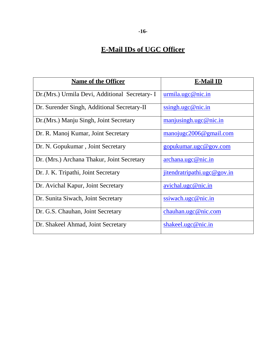# **E-Mail IDs of UGC Officer**

| <b>Name of the Officer</b>                     | <b>E-Mail ID</b>                                       |
|------------------------------------------------|--------------------------------------------------------|
| Dr. (Mrs.) Urmila Devi, Additional Secretary-I | urmila. ugc@nic.in                                     |
| Dr. Surender Singh, Additional Secretary-II    | ssingh. ugc@nic.in                                     |
| Dr. (Mrs.) Manju Singh, Joint Secretary        | manjusingh.ugc@nic.in                                  |
| Dr. R. Manoj Kumar, Joint Secretary            | $\frac{manojugc2006@gmail.com}{mmojugc2006@gmail.com}$ |
| Dr. N. Gopukumar, Joint Secretary              | gopukumar.ugc@gov.com                                  |
| Dr. (Mrs.) Archana Thakur, Joint Secretary     | archana. ugc@nic.in                                    |
| Dr. J. K. Tripathi, Joint Secretary            | jitendratripathi.ugc@gov.in                            |
| Dr. Avichal Kapur, Joint Secretary             | avichal. ugc@nic.in                                    |
| Dr. Sunita Siwach, Joint Secretary             | $ssi$ wach.ugc@nic.in                                  |
| Dr. G.S. Chauhan, Joint Secretary              | chauhan.ugc@nic.com                                    |
| Dr. Shakeel Ahmad, Joint Secretary             | shakeel.ugc@nic.in                                     |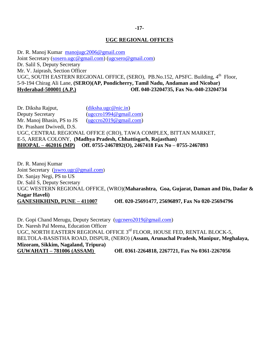#### **-17-**

### **UGC REGIONAL OFFICES**

Dr. R. Manoj Kumar [manojugc2006@gmail.com](mailto:manojugc2006@gmail.com) Joint Secretary [\(sosero.ugc@gmail.com\)](mailto:sosero.ugc@gmail.com) [\(ugcsero@gmail.com](mailto:ugcsero@gmail.com)) Dr. Salil S, Deputy Secretary Mr. V. Jaiprash, Section Officer UGC, SOUTH EASTERN REGIONAL OFFICE, (SERO), PB.No.152, APSFC. Building, 4<sup>th</sup> Floor, 5-9-194 Chirag Ali Lane, **(SERO)(AP, Pondicherry, Tamil Nadu, Andaman and Nicobar) Hyderabad-500001 (A.P.) Off. 040-23204735, Fax No.-040-23204734**

Dr. Diksha Rajput, [\(diksha.ugc@nic.in\)](mailto:diksha.ugc@nic.in) Deputy Secretary [\(ugccro1994@gmail.com](mailto:ugccro1994@gmail.com)) Mr. Manoj Bhasin, PS to JS [\(ugccro2019@gmail.com\)](mailto:ugccro2019@gmail.com) Dr. Prashant Dwivedi, D.S. UGC, CENTRAL REGIONAL OFFICE (CRO), TAWA COMPLEX, BITTAN MARKET, E-5, ARERA COLONY, **(Madhya Pradesh, Chhattisgarh, Rajasthan) BHOPAL – 462016 (MP) Off. 0755-2467892(O), 2467418 Fax No – 0755-2467893**

Dr. R. Manoj Kumar Joint Secretary [\(jswro.ugc@gmail.com](mailto:jswro.ugc@gmail.com)) Dr. Sanjay Negi, PS to US Dr. Salil S, Deputy Secretary UGC WESTERN REGIONAL OFFICE, (WRO)(**Maharashtra, Goa, Gujarat, Daman and Diu, Dadar & Nagar Haveli) GANESHKHIND, PUNE – 411007 Off. 020-25691477, 25696897, Fax No 020-25694796**

Dr. Gopi Chand Merugu, Deputy Secretary [\(ugcnero2019@gmail.com\)](mailto:ugcnero2019@gmail.com) Dr. Naresh Pal Meena, Education Officer UGC, NORTH EASTERN REGIONAL OFFICE 3rd FLOOR, HOUSE FED, RENTAL BLOCK-5, BELTOLA-BASISTHA ROAD, DISPUR, (NERO) (**Assam, Arunachal Pradesh, Manipur, Meghalaya, Mizoram, Sikkim, Nagaland, Tripura) GUWAHATI – 781006 (ASSAM) Off. 0361-2264818, 2267721, Fax No 0361-2267056**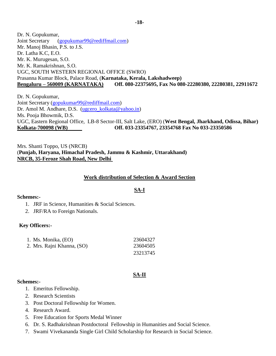Dr. N. Gopukumar, Joint Secretary [\(gopukumar99@rediffmail.com\)](mailto:gopukumar99@rediffmail.com) Mr. Manoj Bhasin, P.S. to J.S. Dr. Latha K.C, E.O. Mr. K. Murugesan, S.O. Mr. K. Ramakrishnan, S.O. UGC, SOUTH WESTERN REGIONAL OFFICE (SWRO) Prasanna Kumar Block, Palace Road, (**Karnataka, Kerala, Lakshadweep) Bengaluru – 560009 (KARNATAKA) Off. 080-22375695, Fax No 080-22280380, 22280381, 22911672**

Dr. N. Gopukumar, Joint Secretary [\(gopukumar99@rediffmail.com\)](mailto:gopukumar99@rediffmail.com) Dr. Amol M. Andhare, D.S. [\(ugcero\\_kolkata@yahoo.in\)](mailto:ugcero_kolkata@yahoo.in) Ms. Pooja Bhowmik, D.S. UGC, Eastern Regional Office, LB-8 Sector-III, Salt Lake, (ERO) (**West Bengal, Jharkhand, Odissa, Bihar) Kolkata-700098 (WB) Off. 033-23354767, 23354768 Fax No 033-23350586**

Mrs. Shanti Toppo, US (NRCB) (**Punjab, Haryana, Himachal Pradesh, Jammu & Kashmir, Uttarakhand) NRCB, 35-Feroze Shah Road, New Delhi** 

#### **Work distribution of Selection & Award Section**

### **SA-I**

#### **Schemes:-**

- 1. JRF in Science, Humanities & Social Sciences.
- 2. JRF/RA to Foreign Nationals.

#### **Key Officers:-**

| 1. Ms. Monika, (EO)        | 23604327 |
|----------------------------|----------|
| 2. Mrs. Rajni Khanna, (SO) | 23604505 |
|                            | 23213745 |

#### **SA-II**

#### **Schemes:-**

- 1. Emeritus Fellowship.
- 2. Research Scientists
- 3. Post Doctoral Fellowship for Women.
- 4. Research Award.
- 5. Free Education for Sports Medal Winner
- 6. Dr. S. Radhakrishnan Postdoctoral Fellowship in Humanities and Social Science.
- 7. Swami Vivekananda Single Girl Child Scholarship for Research in Social Science.